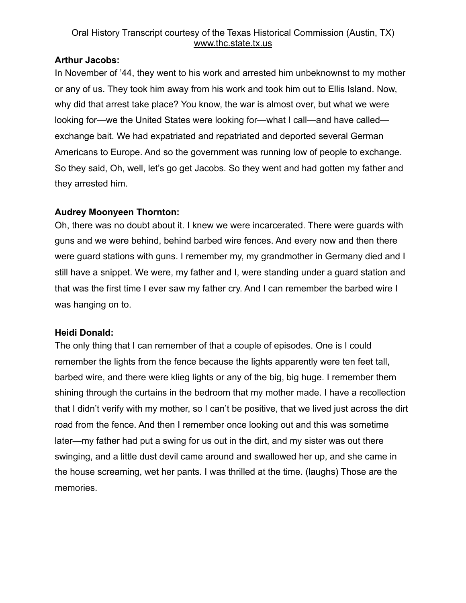## Oral History Transcript courtesy of the Texas Historical Commission (Austin, TX) [www.thc.state.tx.us](http://www.thc.state.tx.us)

## **Arthur Jacobs:**

In November of '44, they went to his work and arrested him unbeknownst to my mother or any of us. They took him away from his work and took him out to Ellis Island. Now, why did that arrest take place? You know, the war is almost over, but what we were looking for—we the United States were looking for—what I call—and have called exchange bait. We had expatriated and repatriated and deported several German Americans to Europe. And so the government was running low of people to exchange. So they said, Oh, well, let's go get Jacobs. So they went and had gotten my father and they arrested him.

# **Audrey Moonyeen Thornton:**

Oh, there was no doubt about it. I knew we were incarcerated. There were guards with guns and we were behind, behind barbed wire fences. And every now and then there were guard stations with guns. I remember my, my grandmother in Germany died and I still have a snippet. We were, my father and I, were standing under a guard station and that was the first time I ever saw my father cry. And I can remember the barbed wire I was hanging on to.

# **Heidi Donald:**

The only thing that I can remember of that a couple of episodes. One is I could remember the lights from the fence because the lights apparently were ten feet tall, barbed wire, and there were klieg lights or any of the big, big huge. I remember them shining through the curtains in the bedroom that my mother made. I have a recollection that I didn't verify with my mother, so I can't be positive, that we lived just across the dirt road from the fence. And then I remember once looking out and this was sometime later—my father had put a swing for us out in the dirt, and my sister was out there swinging, and a little dust devil came around and swallowed her up, and she came in the house screaming, wet her pants. I was thrilled at the time. (laughs) Those are the memories.